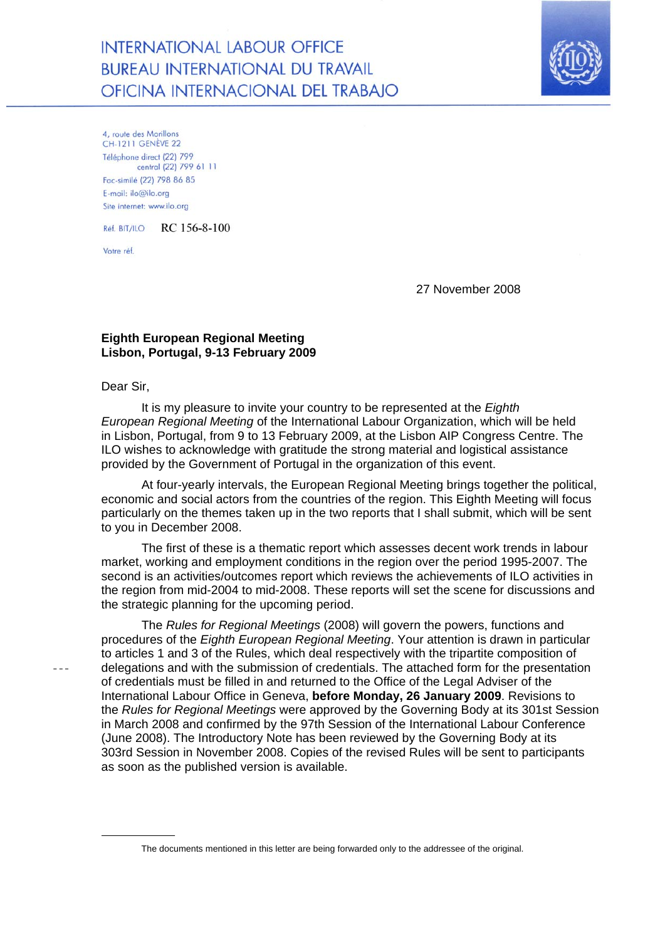**INTERNATIONAL LABOUR OFFICE BUREAU INTERNATIONAL DU TRAVAIL** OFICINA INTERNACIONAL DEL TRABAJO



4, route des Morillons **CH-1211 GENÈVE 22** Téléphone direct (22) 799 central (22) 799 61 11 Fac-similé (22) 798 86 85  $F$ -mail: ilo@ilo.org Site internet: www.ilo.org

Réf. BIT/ILO RC 156-8-100

Votre réf.

27 November 2008

## **Eighth European Regional Meeting Lisbon, Portugal, 9-13 February 2009**

Dear Sir,

It is my pleasure to invite your country to be represented at the *Eighth European Regional Meeting* of the International Labour Organization, which will be held in Lisbon, Portugal, from 9 to 13 February 2009, at the Lisbon AIP Congress Centre. The ILO wishes to acknowledge with gratitude the strong material and logistical assistance provided by the Government of Portugal in the organization of this event.

At four-yearly intervals, the European Regional Meeting brings together the political, economic and social actors from the countries of the region. This Eighth Meeting will focus particularly on the themes taken up in the two reports that I shall submit, which will be sent to you in December 2008.

The first of these is a thematic report which assesses decent work trends in labour market, working and employment conditions in the region over the period 1995-2007. The second is an activities/outcomes report which reviews the achievements of ILO activities in the region from mid-2004 to mid-2008. These reports will set the scene for discussions and the strategic planning for the upcoming period.

The *Rules for Regional Meetings* (2008) will govern the powers, functions and procedures of the *Eighth European Regional Meeting*. Your attention is drawn in particular to articles 1 and 3 of the Rules, which deal respectively with the tripartite composition of delegations and with the submission of credentials. The attached form for the presentation of credentials must be filled in and returned to the Office of the Legal Adviser of the International Labour Office in Geneva, **before Monday, 26 January 2009**. Revisions to the *Rules for Regional Meetings* were approved by the Governing Body at its 301st Session in March 2008 and confirmed by the 97th Session of the International Labour Conference (June 2008). The Introductory Note has been reviewed by the Governing Body at its 303rd Session in November 2008. Copies of the revised Rules will be sent to participants as soon as the published version is available.

The documents mentioned in this letter are being forwarded only to the addressee of the original.